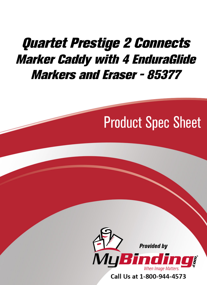## [Quartet Prestige 2 Connects](https://www.mybinding.com/quartet-prestige-2-connects-marker-caddy-with-4-enduraglide-markers-and-eraser.html)  Marker Caddy with 4 EnduraGlide Markers and Eraser - 85377

# Product Spec Sheet



Call Us at 1-800-944-4573